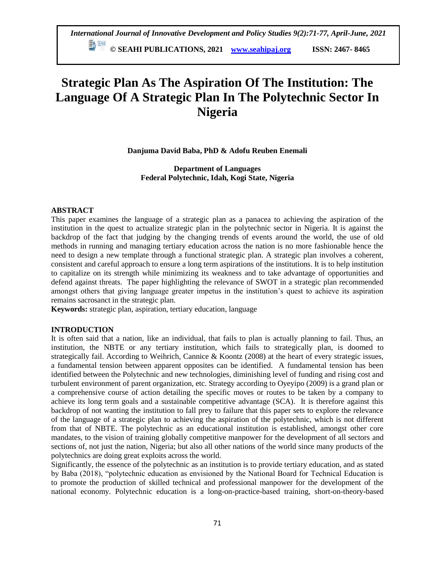# **Strategic Plan As The Aspiration Of The Institution: The Language Of A Strategic Plan In The Polytechnic Sector In Nigeria**

**Danjuma David Baba, PhD & Adofu Reuben Enemali**

**Department of Languages Federal Polytechnic, Idah, Kogi State, Nigeria**

## **ABSTRACT**

This paper examines the language of a strategic plan as a panacea to achieving the aspiration of the institution in the quest to actualize strategic plan in the polytechnic sector in Nigeria. It is against the backdrop of the fact that judging by the changing trends of events around the world, the use of old methods in running and managing tertiary education across the nation is no more fashionable hence the need to design a new template through a functional strategic plan. A strategic plan involves a coherent, consistent and careful approach to ensure a long term aspirations of the institutions. It is to help institution to capitalize on its strength while minimizing its weakness and to take advantage of opportunities and defend against threats. The paper highlighting the relevance of SWOT in a strategic plan recommended amongst others that giving language greater impetus in the institution"s quest to achieve its aspiration remains sacrosanct in the strategic plan.

**Keywords:** strategic plan, aspiration, tertiary education, language

## **INTRODUCTION**

It is often said that a nation, like an individual, that fails to plan is actually planning to fail. Thus, an institution, the NBTE or any tertiary institution, which fails to strategically plan, is doomed to strategically fail. According to Weihrich, Cannice & Koontz (2008) at the heart of every strategic issues, a fundamental tension between apparent opposites can be identified. A fundamental tension has been identified between the Polytechnic and new technologies, diminishing level of funding and rising cost and turbulent environment of parent organization, etc. Strategy according to Oyeyipo (2009) is a grand plan or a comprehensive course of action detailing the specific moves or routes to be taken by a company to achieve its long term goals and a sustainable competitive advantage (SCA). It is therefore against this backdrop of not wanting the institution to fall prey to failure that this paper sets to explore the relevance of the language of a strategic plan to achieving the aspiration of the polytechnic, which is not different from that of NBTE. The polytechnic as an educational institution is established, amongst other core mandates, to the vision of training globally competitive manpower for the development of all sectors and sections of, not just the nation, Nigeria; but also all other nations of the world since many products of the polytechnics are doing great exploits across the world.

Significantly, the essence of the polytechnic as an institution is to provide tertiary education, and as stated by Baba (2018), "polytechnic education as envisioned by the National Board for Technical Education is to promote the production of skilled technical and professional manpower for the development of the national economy. Polytechnic education is a long-on-practice-based training, short-on-theory-based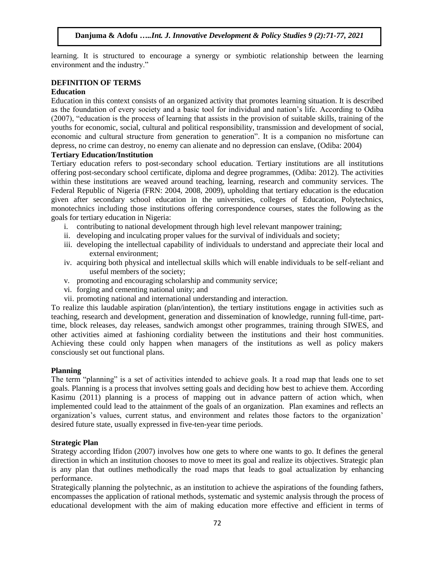learning. It is structured to encourage a synergy or symbiotic relationship between the learning environment and the industry."

## **DEFINITION OF TERMS**

#### **Education**

Education in this context consists of an organized activity that promotes learning situation. It is described as the foundation of every society and a basic tool for individual and nation"s life. According to Odiba (2007), "education is the process of learning that assists in the provision of suitable skills, training of the youths for economic, social, cultural and political responsibility, transmission and development of social, economic and cultural structure from generation to generation". It is a companion no misfortune can depress, no crime can destroy, no enemy can alienate and no depression can enslave, (Odiba: 2004)

## **Tertiary Education/Institution**

Tertiary education refers to post-secondary school education. Tertiary institutions are all institutions offering post-secondary school certificate, diploma and degree programmes, (Odiba: 2012). The activities within these institutions are weaved around teaching, learning, research and community services. The Federal Republic of Nigeria (FRN: 2004, 2008, 2009), upholding that tertiary education is the education given after secondary school education in the universities, colleges of Education, Polytechnics, monotechnics including those institutions offering correspondence courses, states the following as the goals for tertiary education in Nigeria:

- i. contributing to national development through high level relevant manpower training;
- ii. developing and inculcating proper values for the survival of individuals and society;
- iii. developing the intellectual capability of individuals to understand and appreciate their local and external environment;
- iv. acquiring both physical and intellectual skills which will enable individuals to be self-reliant and useful members of the society;
- v. promoting and encouraging scholarship and community service;
- vi. forging and cementing national unity; and
- vii. promoting national and international understanding and interaction.

To realize this laudable aspiration (plan/intention), the tertiary institutions engage in activities such as teaching, research and development, generation and dissemination of knowledge, running full-time, parttime, block releases, day releases, sandwich amongst other programmes, training through SIWES, and other activities aimed at fashioning cordiality between the institutions and their host communities. Achieving these could only happen when managers of the institutions as well as policy makers consciously set out functional plans.

#### **Planning**

The term "planning" is a set of activities intended to achieve goals. It a road map that leads one to set goals. Planning is a process that involves setting goals and deciding how best to achieve them. According Kasimu (2011) planning is a process of mapping out in advance pattern of action which, when implemented could lead to the attainment of the goals of an organization. Plan examines and reflects an organization"s values, current status, and environment and relates those factors to the organization" desired future state, usually expressed in five-ten-year time periods.

#### **Strategic Plan**

Strategy according Ifidon (2007) involves how one gets to where one wants to go. It defines the general direction in which an institution chooses to move to meet its goal and realize its objectives. Strategic plan is any plan that outlines methodically the road maps that leads to goal actualization by enhancing performance.

Strategically planning the polytechnic, as an institution to achieve the aspirations of the founding fathers, encompasses the application of rational methods, systematic and systemic analysis through the process of educational development with the aim of making education more effective and efficient in terms of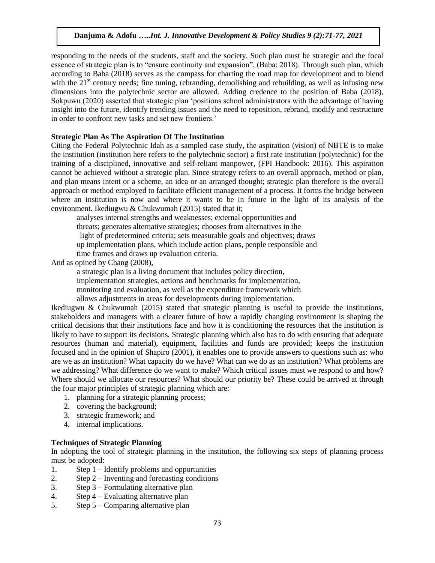responding to the needs of the students, staff and the society. Such plan must be strategic and the focal essence of strategic plan is to "ensure continuity and expansion", (Baba: 2018). Through such plan, which according to Baba (2018) serves as the compass for charting the road map for development and to blend with the  $21<sup>st</sup>$  century needs; fine tuning, rebranding, demolishing and rebuilding, as well as infusing new dimensions into the polytechnic sector are allowed. Adding credence to the position of Baba (2018), Sokpuwu (2020) asserted that strategic plan "positions school administrators with the advantage of having insight into the future, identify trending issues and the need to reposition, rebrand, modify and restructure in order to confront new tasks and set new frontiers."

#### **Strategic Plan As The Aspiration Of The Institution**

Citing the Federal Polytechnic Idah as a sampled case study, the aspiration (vision) of NBTE is to make the institution (institution here refers to the polytechnic sector) a first rate institution (polytechnic) for the training of a disciplined, innovative and self-reliant manpower, (FPI Handbook: 2016). This aspiration cannot be achieved without a strategic plan. Since strategy refers to an overall approach, method or plan, and plan means intent or a scheme, an idea or an arranged thought; strategic plan therefore is the overall approach or method employed to facilitate efficient management of a process. It forms the bridge between where an institution is now and where it wants to be in future in the light of its analysis of the environment. Ikediugwu & Chukwumah (2015) stated that it;

analyses internal strengths and weaknesses; external opportunities and threats; generates alternative strategies; chooses from alternatives in the light of predetermined criteria; sets measurable goals and objectives; draws up implementation plans, which include action plans, people responsible and time frames and draws up evaluation criteria.

And as opined by Chang (2008),

a strategic plan is a living document that includes policy direction,

implementation strategies, actions and benchmarks for implementation,

monitoring and evaluation, as well as the expenditure framework which

allows adjustments in areas for developments during implementation.

Ikediugwu & Chukwumah (2015) stated that strategic planning is useful to provide the institutions, stakeholders and managers with a clearer future of how a rapidly changing environment is shaping the critical decisions that their institutions face and how it is conditioning the resources that the institution is likely to have to support its decisions. Strategic planning which also has to do with ensuring that adequate resources (human and material), equipment, facilities and funds are provided; keeps the institution focused and in the opinion of Shapiro (2001), it enables one to provide answers to questions such as: who are we as an institution? What capacity do we have? What can we do as an institution? What problems are we addressing? What difference do we want to make? Which critical issues must we respond to and how? Where should we allocate our resources? What should our priority be? These could be arrived at through the four major principles of strategic planning which are:

- 1. planning for a strategic planning process;
- 2. covering the background;
- 3. strategic framework; and
- 4. internal implications.

#### **Techniques of Strategic Planning**

In adopting the tool of strategic planning in the institution, the following six steps of planning process must be adopted:

- 1. Step 1 Identify problems and opportunities
- 2. Step 2 Inventing and forecasting conditions
- 3. Step 3 Formulating alternative plan
- 4. Step 4 Evaluating alternative plan
- 5. Step 5 Comparing alternative plan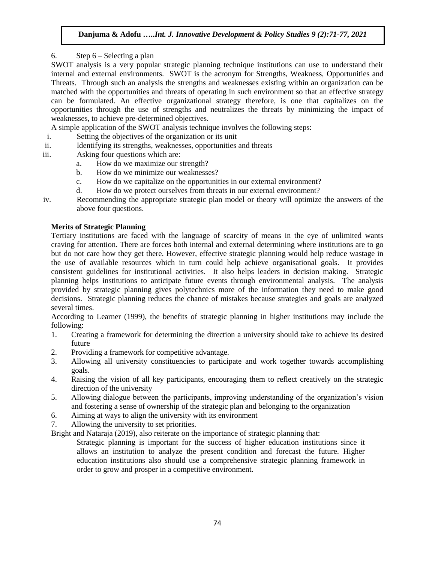# 6. Step 6 – Selecting a plan

SWOT analysis is a very popular strategic planning technique institutions can use to understand their internal and external environments. SWOT is the acronym for Strengths, Weakness, Opportunities and Threats. Through such an analysis the strengths and weaknesses existing within an organization can be matched with the opportunities and threats of operating in such environment so that an effective strategy can be formulated. An effective organizational strategy therefore, is one that capitalizes on the opportunities through the use of strengths and neutralizes the threats by minimizing the impact of weaknesses, to achieve pre-determined objectives.

A simple application of the SWOT analysis technique involves the following steps:

- i. Setting the objectives of the organization or its unit
- ii. Identifying its strengths, weaknesses, opportunities and threats
- iii. Asking four questions which are:
	- a. How do we maximize our strength?
	- b. How do we minimize our weaknesses?
	- c. How do we capitalize on the opportunities in our external environment?
	- d. How do we protect ourselves from threats in our external environment?
- iv. Recommending the appropriate strategic plan model or theory will optimize the answers of the above four questions.

# **Merits of Strategic Planning**

Tertiary institutions are faced with the language of scarcity of means in the eye of unlimited wants craving for attention. There are forces both internal and external determining where institutions are to go but do not care how they get there. However, effective strategic planning would help reduce wastage in the use of available resources which in turn could help achieve organisational goals. It provides consistent guidelines for institutional activities. It also helps leaders in decision making. Strategic planning helps institutions to anticipate future events through environmental analysis. The analysis provided by strategic planning gives polytechnics more of the information they need to make good decisions. Strategic planning reduces the chance of mistakes because strategies and goals are analyzed several times.

According to Learner (1999), the benefits of strategic planning in higher institutions may include the following:

- 1. Creating a framework for determining the direction a university should take to achieve its desired future
- 2. Providing a framework for competitive advantage.
- 3. Allowing all university constituencies to participate and work together towards accomplishing goals.
- 4. Raising the vision of all key participants, encouraging them to reflect creatively on the strategic direction of the university
- 5. Allowing dialogue between the participants, improving understanding of the organization"s vision and fostering a sense of ownership of the strategic plan and belonging to the organization
- 6. Aiming at ways to align the university with its environment
- 7. Allowing the university to set priorities.

Bright and Nataraja (2019), also reiterate on the importance of strategic planning that:

Strategic planning is important for the success of higher education institutions since it allows an institution to analyze the present condition and forecast the future. Higher education institutions also should use a comprehensive strategic planning framework in order to grow and prosper in a competitive environment.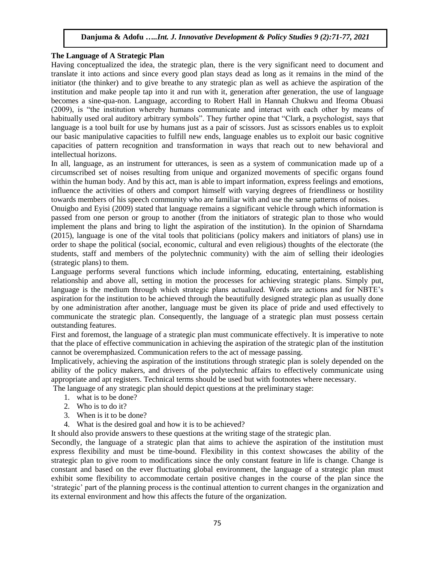#### **The Language of A Strategic Plan**

Having conceptualized the idea, the strategic plan, there is the very significant need to document and translate it into actions and since every good plan stays dead as long as it remains in the mind of the initiator (the thinker) and to give breathe to any strategic plan as well as achieve the aspiration of the institution and make people tap into it and run with it, generation after generation, the use of language becomes a sine-qua-non. Language, according to Robert Hall in Hannah Chukwu and Ifeoma Obuasi (2009), is "the institution whereby humans communicate and interact with each other by means of habitually used oral auditory arbitrary symbols". They further opine that "Clark, a psychologist, says that language is a tool built for use by humans just as a pair of scissors. Just as scissors enables us to exploit our basic manipulative capacities to fulfill new ends, language enables us to exploit our basic cognitive capacities of pattern recognition and transformation in ways that reach out to new behavioral and intellectual horizons.

In all, language, as an instrument for utterances, is seen as a system of communication made up of a circumscribed set of noises resulting from unique and organized movements of specific organs found within the human body. And by this act, man is able to impart information, express feelings and emotions, influence the activities of others and comport himself with varying degrees of friendliness or hostility towards members of his speech community who are familiar with and use the same patterns of noises.

Onuigbo and Eyisi (2009) stated that language remains a significant vehicle through which information is passed from one person or group to another (from the initiators of strategic plan to those who would implement the plans and bring to light the aspiration of the institution). In the opinion of Sharndama (2015), language is one of the vital tools that politicians (policy makers and initiators of plans) use in order to shape the political (social, economic, cultural and even religious) thoughts of the electorate (the students, staff and members of the polytechnic community) with the aim of selling their ideologies (strategic plans) to them.

Language performs several functions which include informing, educating, entertaining, establishing relationship and above all, setting in motion the processes for achieving strategic plans. Simply put, language is the medium through which strategic plans actualized. Words are actions and for NBTE"s aspiration for the institution to be achieved through the beautifully designed strategic plan as usually done by one administration after another, language must be given its place of pride and used effectively to communicate the strategic plan. Consequently, the language of a strategic plan must possess certain outstanding features.

First and foremost, the language of a strategic plan must communicate effectively. It is imperative to note that the place of effective communication in achieving the aspiration of the strategic plan of the institution cannot be overemphasized. Communication refers to the act of message passing.

Implicatively, achieving the aspiration of the institutions through strategic plan is solely depended on the ability of the policy makers, and drivers of the polytechnic affairs to effectively communicate using appropriate and apt registers. Technical terms should be used but with footnotes where necessary.

The language of any strategic plan should depict questions at the preliminary stage:

- 1. what is to be done?
- 2. Who is to do it?
- 3. When is it to be done?
- 4. What is the desired goal and how it is to be achieved?

It should also provide answers to these questions at the writing stage of the strategic plan.

Secondly, the language of a strategic plan that aims to achieve the aspiration of the institution must express flexibility and must be time-bound. Flexibility in this context showcases the ability of the strategic plan to give room to modifications since the only constant feature in life is change. Change is constant and based on the ever fluctuating global environment, the language of a strategic plan must exhibit some flexibility to accommodate certain positive changes in the course of the plan since the "strategic" part of the planning process is the continual attention to current changes in the organization and its external environment and how this affects the future of the organization.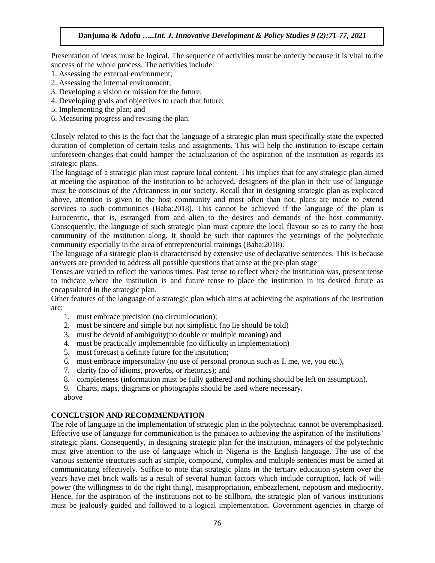Presentation of ideas must be logical. The sequence of activities must be orderly because it is vital to the success of the whole process. The activities include:

- 1. Assessing the external environment;
- 2. Assessing the internal environment;
- 3. Developing a vision or mission for the future;
- 4. Developing goals and objectives to reach that future;
- 5. Implementing the plan; and
- 6. Measuring progress and revising the plan.

Closely related to this is the fact that the language of a strategic plan must specifically state the expected duration of completion of certain tasks and assignments. This will help the institution to escape certain unforeseen changes that could hamper the actualization of the aspiration of the institution as regards its strategic plans.

The language of a strategic plan must capture local content. This implies that for any strategic plan aimed at meeting the aspiration of the institution to be achieved, designers of the plan in their use of language must be conscious of the Africanness in our society. Recall that in designing strategic plan as explicated above, attention is given to the host community and most often than not, plans are made to extend services to such communities (Baba:2018). This cannot be achieved if the language of the plan is Eurocentric, that is, estranged from and alien to the desires and demands of the host community. Consequently, the language of such strategic plan must capture the local flavour so as to carry the host community of the institution along. It should be such that captures the yearnings of the polytechnic community especially in the area of entrepreneurial trainings (Baba:2018).

The language of a strategic plan is characterised by extensive use of declarative sentences. This is because answers are provided to address all possible questions that arose at the pre-plan stage

Tenses are varied to reflect the various times. Past tense to reflect where the institution was, present tense to indicate where the institution is and future tense to place the institution in its desired future as encapsulated in the strategic plan.

Other features of the language of a strategic plan which aims at achieving the aspirations of the institution are:

- 1. must embrace precision (no circumlocution);
- 2. must be sincere and simple but not simplistic (no lie should be told)
- 3. must be devoid of ambiguity(no double or multiple meaning) and
- 4. must be practically implementable (no difficulty in implementation)
- 5. must forecast a definite future for the institution;
- 6. must embrace impersonality (no use of personal pronoun such as I, me, we, you etc.),
- 7. clarity (no of idioms, proverbs, or rhetorics); and
- 8. completeness (information must be fully gathered and nothing should be left on assumption).
- 9. Charts, maps, diagrams or photographs should be used where necessary. above

## **CONCLUSION AND RECOMMENDATION**

The role of language in the implementation of strategic plan in the polytechnic cannot be overemphasized. Effective use of language for communication is the panacea to achieving the aspiration of the institutions" strategic plans. Consequently, in designing strategic plan for the institution, managers of the polytechnic must give attention to the use of language which in Nigeria is the English language. The use of the various sentence structures such as simple, compound, complex and multiple sentences must be aimed at communicating effectively. Suffice to note that strategic plans in the tertiary education system over the years have met brick walls as a result of several human factors which include corruption, lack of willpower (the willingness to do the right thing), misappropriation, embezzlement, nepotism and mediocrity. Hence, for the aspiration of the institutions not to be stillborn, the strategic plan of various institutions must be jealously guided and followed to a logical implementation. Government agencies in charge of